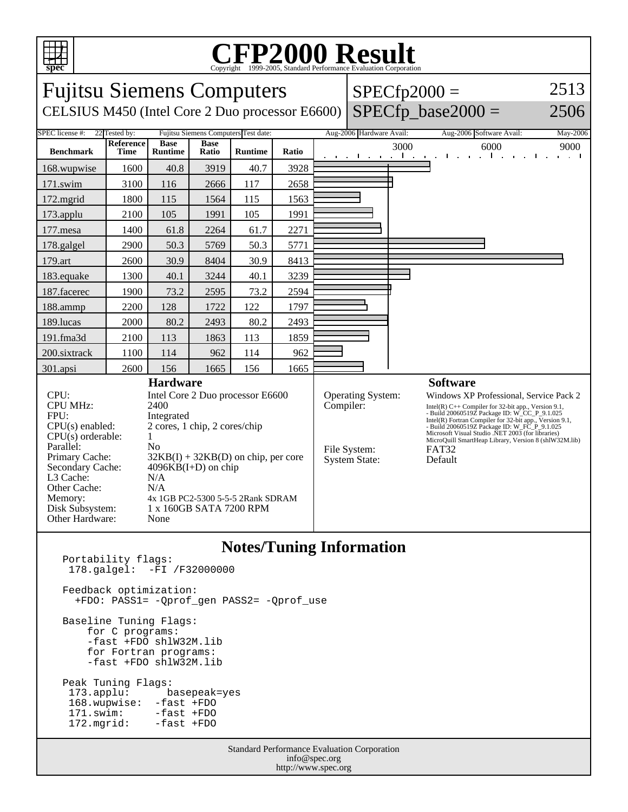

## **CFP2000 Result** Copyright (

Fujitsu Siemens Computers CELSIUS M450 (Intel Core 2 Duo processor E6600)  $SPECfp2000 =$  $SPECfp\_base2000 =$ 2513 2506 SPEC license #: 22 Tested by: Fujitsu Siemens Computers Test date: Aug-2006 Hardware Avail: Aug-2006 Software Avail: May-2006 **Benchmark Reference Time Base Runtime Base Ratio Runtime Ratio** 3000 6000 9000 168.wupwise 1600 40.8 3919 40.7 3928 171.swim | 3100 | 116 | 2666 | 117 | 2658 172.mgrid | 1800 | 115 | 1564 | 115 | 1563 173.applu | 2100 | 105 | 1991 | 105 | 1991 177.mesa | 1400 | 61.8 | 2264 | 61.7 | 2271 178.galgel | 2900 | 50.3 | 5769 | 50.3 | 5771 179.art | 2600 | 30.9 | 8404 | 30.9 | 8413 183.equake 1300 40.1 3244 40.1 3239 187.facerec | 1900 | 73.2 | 2595 | 73.2 | 2594 188.ammp | 2200 | 128 | 1722 | 122 | 1797 189.lucas | 2000 | 80.2 | 2493 | 80.2 | 2493 191.fma3d 2100 113 1863 113 1859 200.sixtrack 1100 114 962 114 962 301.apsi 2600 156 1665 156 1665 **Hardware** CPU: Intel Core 2 Duo processor E6600 CPU MHz: 2400 FPU: Integrated<br>CPU(s) enabled: 2 cores, 1  $2$  cores, 1 chip, 2 cores/chip<br>1  $CPU(s)$  orderable: Parallel: No<br>Primary Cache: 321  $32KB(I) + 32KB(D)$  on chip, per core Secondary Cache: 4096KB(I+D) on chip L3 Cache: N/A<br>Other Cache: N/A Other Cache: Memory: 4x 1GB PC2-5300 5-5-5 2Rank SDRAM Disk Subsystem: 1 x 160GB SATA 7200 RPM Other Hardware: None **Software** Operating System: Windows XP Professional, Service Pack 2<br>Compiler:  $I_{\text{Intel}(R) C++ \text{Compler for 32-bit app. Version 9.1}}$ Intel(R)  $C++$  Compiler for 32-bit app., Version 9.1, - Build 200605192 Package ID: W\_CC\_P\_9.1.025<br>Intel(R) Fortran Compiler for 32-bit app., Version 9.1,<br>- Build 200605192 Package ID: W\_FC\_P\_9.1.025<br>Microsoft Visual Studio .NET 2003 (for libraries)<br>MicroQuill SmartHeap Libra File System: FAT32 System State: Default

## **Notes/Tuning Information**

| <b>Standard Performance Evaluation Corporation</b><br>$f = G - G - G - G - G - G$ |                                                                                                                             |  |
|-----------------------------------------------------------------------------------|-----------------------------------------------------------------------------------------------------------------------------|--|
|                                                                                   | Peak Tuning Flags:<br>173.applu: basepeak=yes<br>168.wupwise: -fast +FDO<br>171.swim: -fast +FDO<br>172. mgrid: - fast +FDO |  |
|                                                                                   | Baseline Tuning Flags:<br>for C programs:<br>-fast +FDO shlW32M.lib<br>for Fortran programs:<br>-fast +FDO shlW32M.lib      |  |
|                                                                                   | Feedback optimization:<br>+FDO: PASS1= -Oprof gen PASS2= -Oprof use                                                         |  |
|                                                                                   | Portability flags:<br>$178.$ galgel: $-FI / F32000000$                                                                      |  |

info@spec.org http://www.spec.org